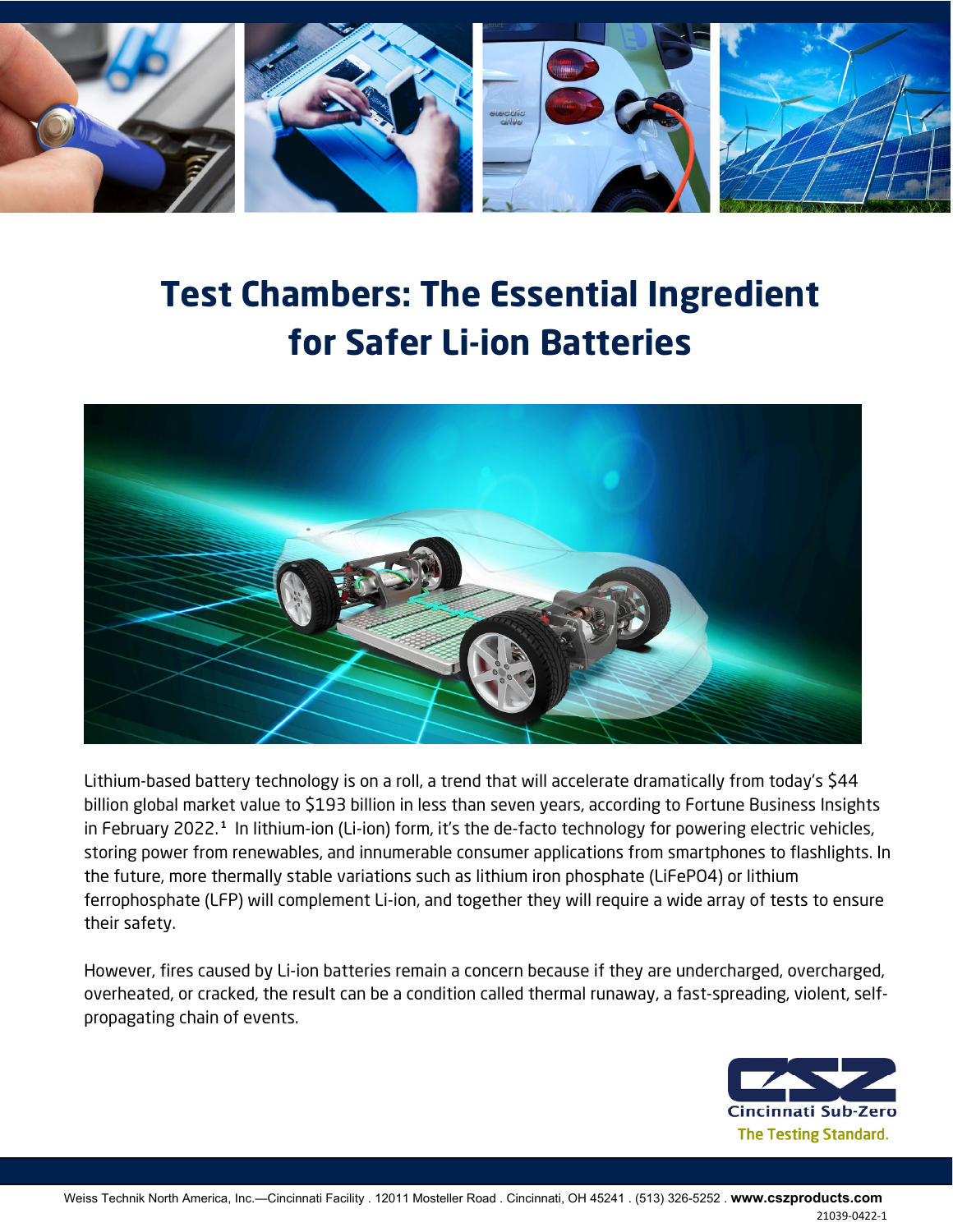

# **Test Chambers: The Essential Ingredient for Safer Li-ion Batteries**



Lithium-based battery technology is on a roll, a trend that will accelerate dramatically from today's \$44 billion global market value to \$193 billion in less than seven years, according to Fortune Business Insights in February 2022.**<sup>1</sup>** In lithium-ion (Li-ion) form, it's the de-facto technology for powering electric vehicles, storing power from renewables, and innumerable consumer applications from smartphones to flashlights. In the future, more thermally stable variations such as lithium iron phosphate (LiFePO4) or lithium ferrophosphate (LFP) will complement Li-ion, and together they will require a wide array of tests to ensure their safety.

However, fires caused by Li-ion batteries remain a concern because if they are undercharged, overcharged, overheated, or cracked, the result can be a condition called thermal runaway, a fast-spreading, violent, selfpropagating chain of events.

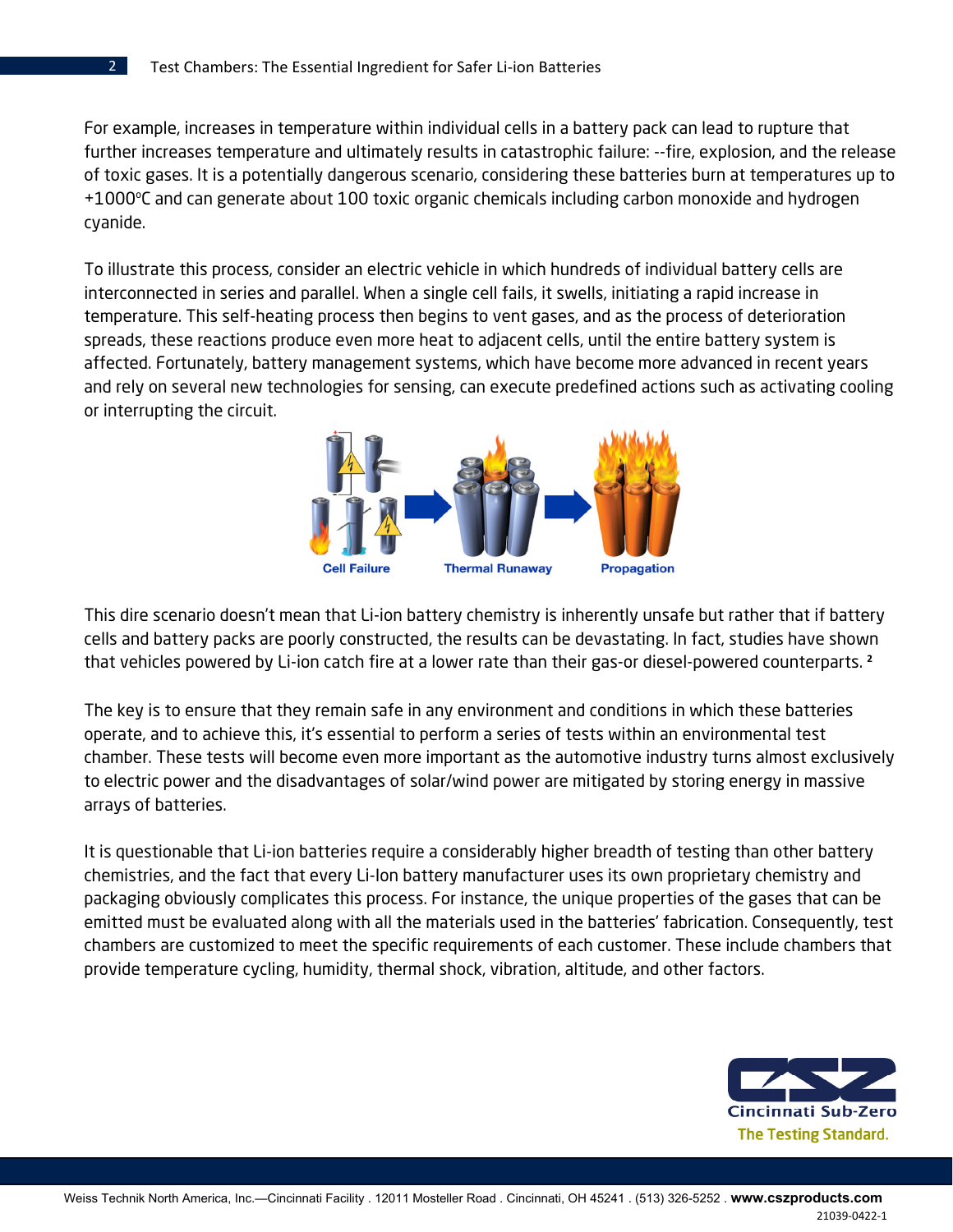$\mathfrak{D}$ 

For example, increases in temperature within individual cells in a battery pack can lead to rupture that further increases temperature and ultimately results in catastrophic failure: --fire, explosion, and the release of toxic gases. It is a potentially dangerous scenario, considering these batteries burn at temperatures up to +1000°C and can generate about 100 toxic organic chemicals including carbon monoxide and hydrogen cyanide.

To illustrate this process, consider an electric vehicle in which hundreds of individual battery cells are interconnected in series and parallel. When a single cell fails, it swells, initiating a rapid increase in temperature. This self-heating process then begins to vent gases, and as the process of deterioration spreads, these reactions produce even more heat to adjacent cells, until the entire battery system is affected. Fortunately, battery management systems, which have become more advanced in recent years and rely on several new technologies for sensing, can execute predefined actions such as activating cooling or interrupting the circuit.



This dire scenario doesn't mean that Li-ion battery chemistry is inherently unsafe but rather that if battery cells and battery packs are poorly constructed, the results can be devastating. In fact, studies have shown that vehicles powered by Li-ion catch fire at a lower rate than their gas-or diesel-powered counterparts. **<sup>2</sup>**

The key is to ensure that they remain safe in any environment and conditions in which these batteries operate, and to achieve this, it's essential to perform a series of tests within an environmental test chamber. These tests will become even more important as the automotive industry turns almost exclusively to electric power and the disadvantages of solar/wind power are mitigated by storing energy in massive arrays of batteries.

It is questionable that Li-ion batteries require a considerably higher breadth of testing than other battery chemistries, and the fact that every Li-Ion battery manufacturer uses its own proprietary chemistry and packaging obviously complicates this process. For instance, the unique properties of the gases that can be emitted must be evaluated along with all the materials used in the batteries' fabrication. Consequently, test chambers are customized to meet the specific requirements of each customer. These include chambers that provide temperature cycling, humidity, thermal shock, vibration, altitude, and other factors.



Weiss Technik North America, Inc.—Cincinnati Facility . 12011 Mosteller Road . Cincinnati, OH 45241 . (513) 326-5252 . **www.cszproducts.com**  21039-0422-1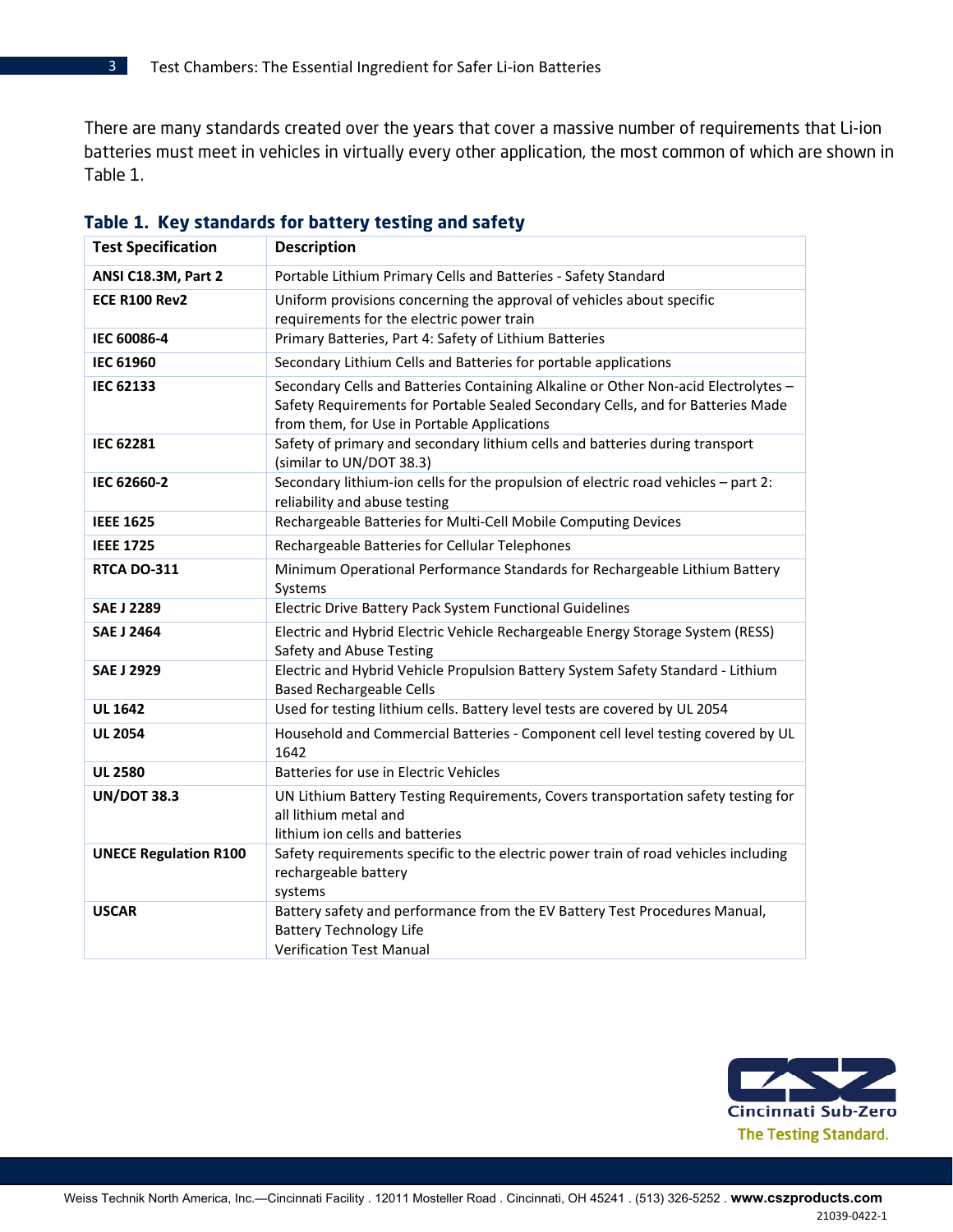There are many standards created over the years that cover a massive number of requirements that Li-ion batteries must meet in vehicles in virtually every other application, the most common of which are shown in Table 1.

| <b>Test Specification</b>    | <b>Description</b>                                                                                                                                                                                                   |  |
|------------------------------|----------------------------------------------------------------------------------------------------------------------------------------------------------------------------------------------------------------------|--|
| ANSI C18.3M, Part 2          | Portable Lithium Primary Cells and Batteries - Safety Standard                                                                                                                                                       |  |
| <b>ECE R100 Rev2</b>         | Uniform provisions concerning the approval of vehicles about specific<br>requirements for the electric power train                                                                                                   |  |
| IEC 60086-4                  | Primary Batteries, Part 4: Safety of Lithium Batteries                                                                                                                                                               |  |
| <b>IEC 61960</b>             | Secondary Lithium Cells and Batteries for portable applications                                                                                                                                                      |  |
| <b>IEC 62133</b>             | Secondary Cells and Batteries Containing Alkaline or Other Non-acid Electrolytes -<br>Safety Requirements for Portable Sealed Secondary Cells, and for Batteries Made<br>from them, for Use in Portable Applications |  |
| <b>IEC 62281</b>             | Safety of primary and secondary lithium cells and batteries during transport<br>(similar to UN/DOT 38.3)                                                                                                             |  |
| IEC 62660-2                  | Secondary lithium-ion cells for the propulsion of electric road vehicles - part 2:<br>reliability and abuse testing                                                                                                  |  |
| <b>IEEE 1625</b>             | Rechargeable Batteries for Multi-Cell Mobile Computing Devices                                                                                                                                                       |  |
| <b>IEEE 1725</b>             | Rechargeable Batteries for Cellular Telephones                                                                                                                                                                       |  |
| <b>RTCA DO-311</b>           | Minimum Operational Performance Standards for Rechargeable Lithium Battery<br>Systems                                                                                                                                |  |
| <b>SAE J 2289</b>            | Electric Drive Battery Pack System Functional Guidelines                                                                                                                                                             |  |
| <b>SAE J 2464</b>            | Electric and Hybrid Electric Vehicle Rechargeable Energy Storage System (RESS)<br>Safety and Abuse Testing                                                                                                           |  |
| <b>SAE J 2929</b>            | Electric and Hybrid Vehicle Propulsion Battery System Safety Standard - Lithium<br><b>Based Rechargeable Cells</b>                                                                                                   |  |
| <b>UL 1642</b>               | Used for testing lithium cells. Battery level tests are covered by UL 2054                                                                                                                                           |  |
| <b>UL 2054</b>               | Household and Commercial Batteries - Component cell level testing covered by UL<br>1642                                                                                                                              |  |
| <b>UL 2580</b>               | Batteries for use in Electric Vehicles                                                                                                                                                                               |  |
| <b>UN/DOT 38.3</b>           | UN Lithium Battery Testing Requirements, Covers transportation safety testing for<br>all lithium metal and<br>lithium ion cells and batteries                                                                        |  |
| <b>UNECE Regulation R100</b> | Safety requirements specific to the electric power train of road vehicles including<br>rechargeable battery<br>systems                                                                                               |  |
| <b>USCAR</b>                 | Battery safety and performance from the EV Battery Test Procedures Manual,<br><b>Battery Technology Life</b><br><b>Verification Test Manual</b>                                                                      |  |

## **Table 1. Key standards for battery testing and safety**



3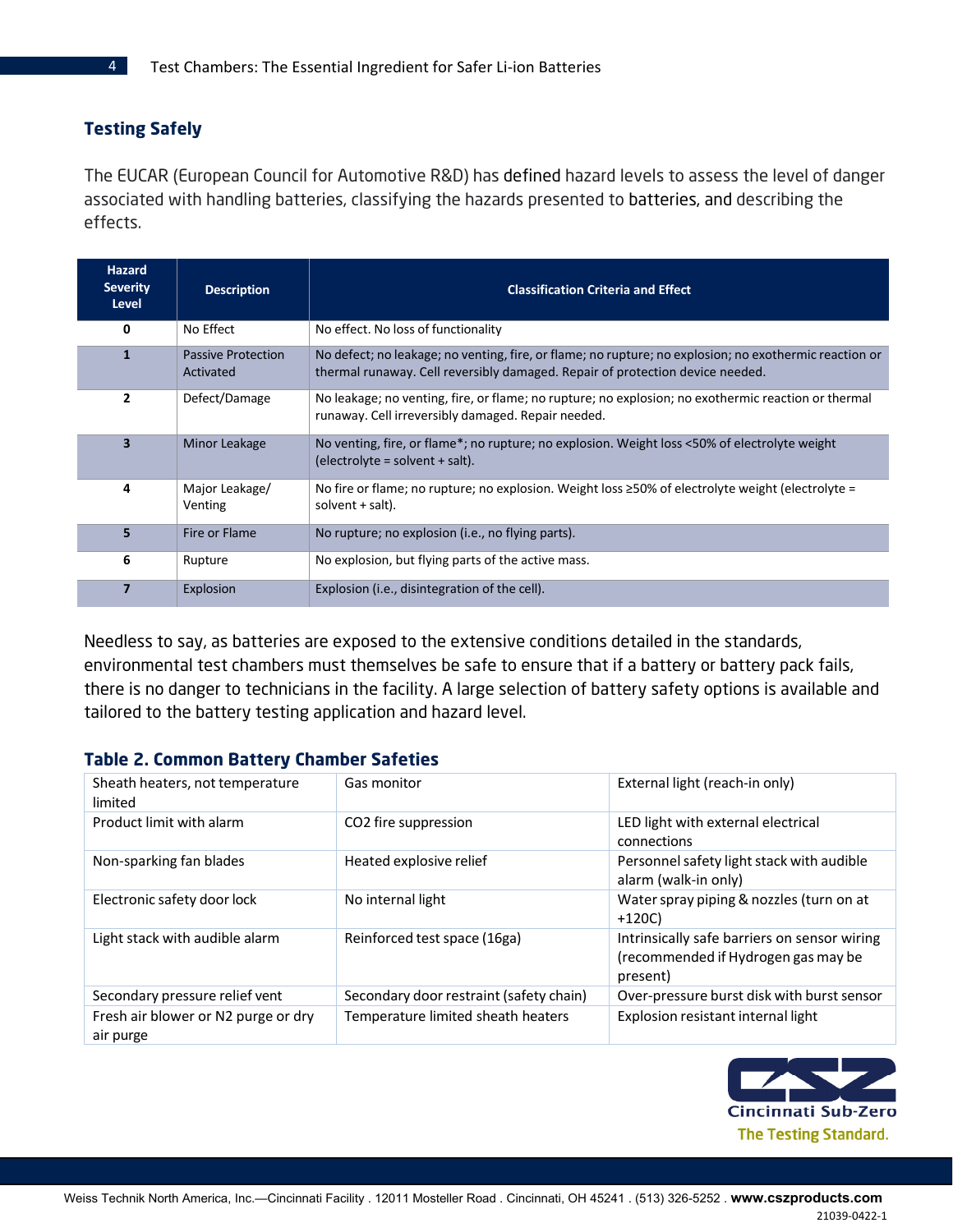## **Testing Safely**

The EUCAR (European Council for Automotive R&D) has defined hazard levels to assess the level of danger associated with handling batteries, classifying the hazards presented to batteries, and describing the effects.

| <b>Hazard</b><br><b>Severity</b><br>Level | <b>Description</b>                     | <b>Classification Criteria and Effect</b>                                                                                                                                               |
|-------------------------------------------|----------------------------------------|-----------------------------------------------------------------------------------------------------------------------------------------------------------------------------------------|
| 0                                         | No Effect                              | No effect. No loss of functionality                                                                                                                                                     |
| $\mathbf{1}$                              | <b>Passive Protection</b><br>Activated | No defect; no leakage; no venting, fire, or flame; no rupture; no explosion; no exothermic reaction or<br>thermal runaway. Cell reversibly damaged. Repair of protection device needed. |
| $\overline{2}$                            | Defect/Damage                          | No leakage; no venting, fire, or flame; no rupture; no explosion; no exothermic reaction or thermal<br>runaway. Cell irreversibly damaged. Repair needed.                               |
| $\overline{\mathbf{3}}$                   | Minor Leakage                          | No venting, fire, or flame*; no rupture; no explosion. Weight loss <50% of electrolyte weight<br>$electro$ = solvent + salt).                                                           |
| 4                                         | Major Leakage/<br>Venting              | No fire or flame; no rupture; no explosion. Weight loss $\geq$ 50% of electrolyte weight (electrolyte =<br>solvent + salt).                                                             |
| 5                                         | Fire or Flame                          | No rupture; no explosion (i.e., no flying parts).                                                                                                                                       |
| 6                                         | Rupture                                | No explosion, but flying parts of the active mass.                                                                                                                                      |
| 7                                         | Explosion                              | Explosion (i.e., disintegration of the cell).                                                                                                                                           |

Needless to say, as batteries are exposed to the extensive conditions detailed in the standards, environmental test chambers must themselves be safe to ensure that if a battery or battery pack fails, there is no danger to technicians in the facility. A large selection of battery safety options is available and tailored to the battery testing application and hazard level.

### **Table 2. Common Battery Chamber Safeties**

| Sheath heaters, not temperature<br>limited       | Gas monitor                             | External light (reach-in only)                                                                  |
|--------------------------------------------------|-----------------------------------------|-------------------------------------------------------------------------------------------------|
| Product limit with alarm                         | CO2 fire suppression                    | LED light with external electrical<br>connections                                               |
| Non-sparking fan blades                          | Heated explosive relief                 | Personnel safety light stack with audible<br>alarm (walk-in only)                               |
| Electronic safety door lock                      | No internal light                       | Water spray piping & nozzles (turn on at<br>$+120C$                                             |
| Light stack with audible alarm                   | Reinforced test space (16ga)            | Intrinsically safe barriers on sensor wiring<br>(recommended if Hydrogen gas may be<br>present) |
| Secondary pressure relief vent                   | Secondary door restraint (safety chain) | Over-pressure burst disk with burst sensor                                                      |
| Fresh air blower or N2 purge or dry<br>air purge | Temperature limited sheath heaters      | Explosion resistant internal light                                                              |

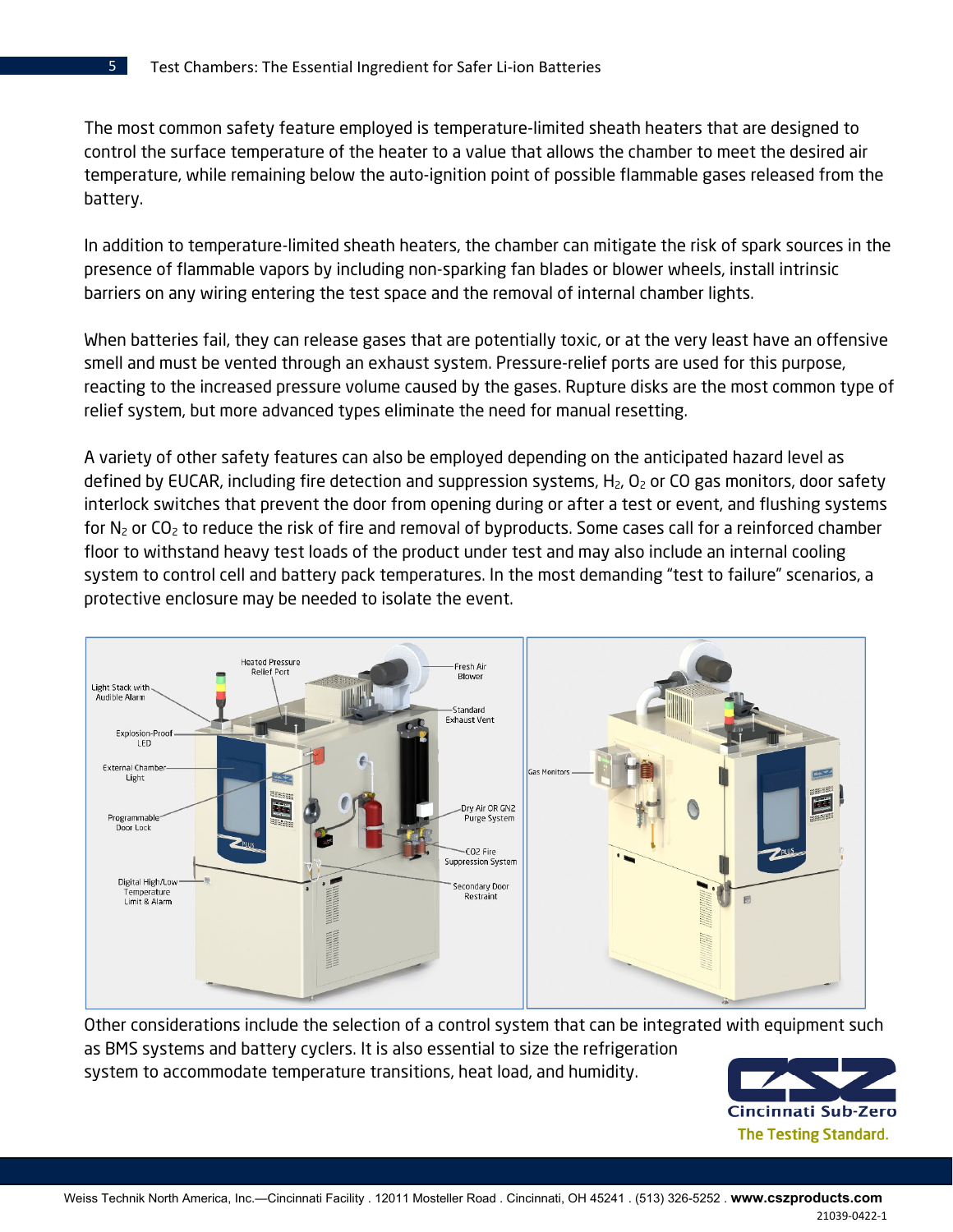The most common safety feature employed is temperature-limited sheath heaters that are designed to control the surface temperature of the heater to a value that allows the chamber to meet the desired air temperature, while remaining below the auto-ignition point of possible flammable gases released from the battery.

In addition to temperature-limited sheath heaters, the chamber can mitigate the risk of spark sources in the presence of flammable vapors by including non-sparking fan blades or blower wheels, install intrinsic barriers on any wiring entering the test space and the removal of internal chamber lights.

When batteries fail, they can release gases that are potentially toxic, or at the very least have an offensive smell and must be vented through an exhaust system. Pressure-relief ports are used for this purpose, reacting to the increased pressure volume caused by the gases. Rupture disks are the most common type of relief system, but more advanced types eliminate the need for manual resetting.

A variety of other safety features can also be employed depending on the anticipated hazard level as defined by EUCAR, including fire detection and suppression systems,  $H_2$ ,  $O_2$  or CO gas monitors, door safety interlock switches that prevent the door from opening during or after a test or event, and flushing systems for  $N_2$  or  $CO_2$  to reduce the risk of fire and removal of byproducts. Some cases call for a reinforced chamber floor to withstand heavy test loads of the product under test and may also include an internal cooling system to control cell and battery pack temperatures. In the most demanding "test to failure" scenarios, a protective enclosure may be needed to isolate the event.



Other considerations include the selection of a control system that can be integrated with equipment such as BMS systems and battery cyclers. It is also essential to size the refrigeration system to accommodate temperature transitions, heat load, and humidity.

Cincinnati Sub-Zero **The Testing Standard.** 

5